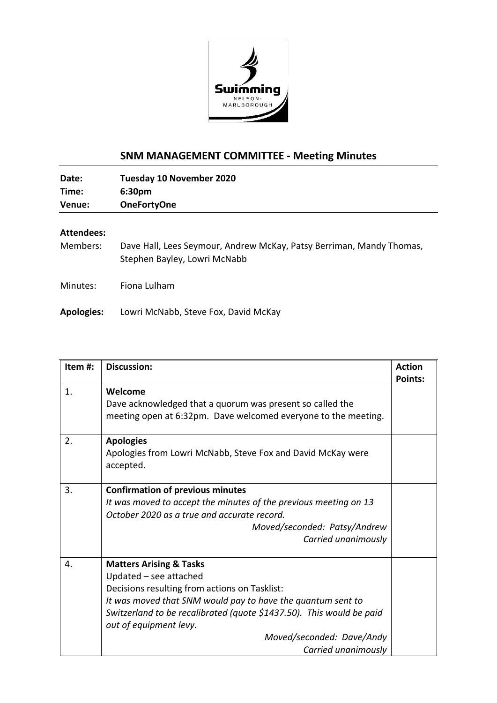

## **SNM MANAGEMENT COMMITTEE - Meeting Minutes**

| Time:<br>6:30pm              |  |
|------------------------------|--|
|                              |  |
| Venue:<br><b>OneFortyOne</b> |  |

## **Attendees:**

Members: Dave Hall, Lees Seymour, Andrew McKay, Patsy Berriman, Mandy Thomas, Stephen Bayley, Lowri McNabb

Minutes: Fiona Lulham

**Apologies:** Lowri McNabb, Steve Fox, David McKay

| Item#: | <b>Discussion:</b>                                                                                                                                                                                                                                                                                                                 | <b>Action</b><br><b>Points:</b> |
|--------|------------------------------------------------------------------------------------------------------------------------------------------------------------------------------------------------------------------------------------------------------------------------------------------------------------------------------------|---------------------------------|
| 1.     | Welcome<br>Dave acknowledged that a quorum was present so called the<br>meeting open at 6:32pm. Dave welcomed everyone to the meeting.                                                                                                                                                                                             |                                 |
| 2.     | <b>Apologies</b><br>Apologies from Lowri McNabb, Steve Fox and David McKay were<br>accepted.                                                                                                                                                                                                                                       |                                 |
| 3.     | <b>Confirmation of previous minutes</b><br>It was moved to accept the minutes of the previous meeting on 13<br>October 2020 as a true and accurate record.<br>Moved/seconded: Patsy/Andrew<br>Carried unanimously                                                                                                                  |                                 |
| 4.     | <b>Matters Arising &amp; Tasks</b><br>Updated - see attached<br>Decisions resulting from actions on Tasklist:<br>It was moved that SNM would pay to have the quantum sent to<br>Switzerland to be recalibrated (quote \$1437.50). This would be paid<br>out of equipment levy.<br>Moved/seconded: Dave/Andy<br>Carried unanimously |                                 |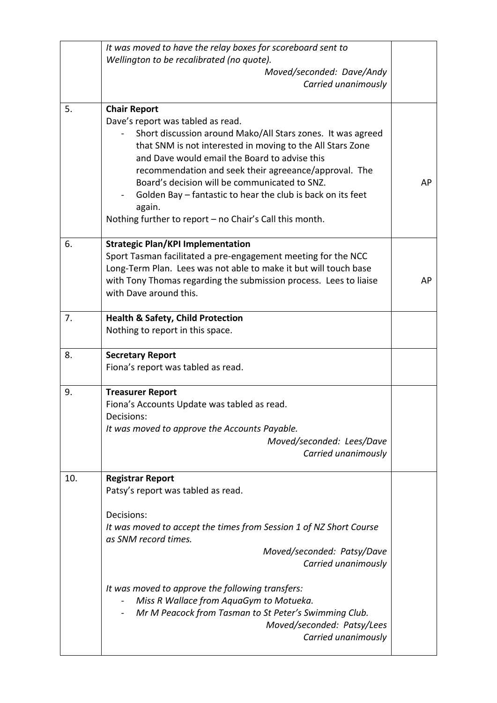|     | It was moved to have the relay boxes for scoreboard sent to<br>Wellington to be recalibrated (no quote).<br>Moved/seconded: Dave/Andy<br>Carried unanimously                                                                                                                                                                                                                                                                                                                         |           |
|-----|--------------------------------------------------------------------------------------------------------------------------------------------------------------------------------------------------------------------------------------------------------------------------------------------------------------------------------------------------------------------------------------------------------------------------------------------------------------------------------------|-----------|
| 5.  | <b>Chair Report</b><br>Dave's report was tabled as read.<br>Short discussion around Mako/All Stars zones. It was agreed<br>that SNM is not interested in moving to the All Stars Zone<br>and Dave would email the Board to advise this<br>recommendation and seek their agreeance/approval. The<br>Board's decision will be communicated to SNZ.<br>Golden Bay – fantastic to hear the club is back on its feet<br>again.<br>Nothing further to report - no Chair's Call this month. | <b>AP</b> |
| 6.  | <b>Strategic Plan/KPI Implementation</b><br>Sport Tasman facilitated a pre-engagement meeting for the NCC<br>Long-Term Plan. Lees was not able to make it but will touch base<br>with Tony Thomas regarding the submission process. Lees to liaise<br>with Dave around this.                                                                                                                                                                                                         | AP        |
| 7.  | <b>Health &amp; Safety, Child Protection</b><br>Nothing to report in this space.                                                                                                                                                                                                                                                                                                                                                                                                     |           |
| 8.  | <b>Secretary Report</b><br>Fiona's report was tabled as read.                                                                                                                                                                                                                                                                                                                                                                                                                        |           |
| 9.  | <b>Treasurer Report</b><br>Fiona's Accounts Update was tabled as read.<br>Decisions:<br>It was moved to approve the Accounts Payable.<br>Moved/seconded: Lees/Dave<br>Carried unanimously                                                                                                                                                                                                                                                                                            |           |
| 10. | <b>Registrar Report</b><br>Patsy's report was tabled as read.<br>Decisions:<br>It was moved to accept the times from Session 1 of NZ Short Course<br>as SNM record times.<br>Moved/seconded: Patsy/Dave<br>Carried unanimously<br>It was moved to approve the following transfers:<br>Miss R Wallace from AquaGym to Motueka.<br>Mr M Peacock from Tasman to St Peter's Swimming Club.<br>Moved/seconded: Patsy/Lees<br>Carried unanimously                                          |           |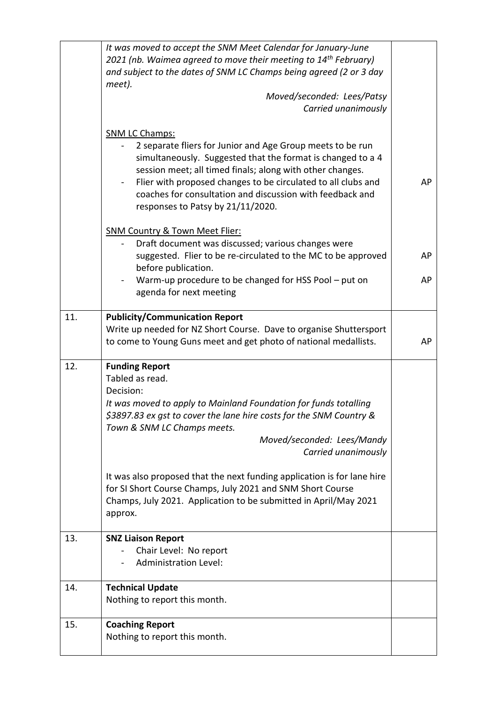|     | It was moved to accept the SNM Meet Calendar for January-June<br>2021 (nb. Waimea agreed to move their meeting to 14 <sup>th</sup> February)<br>and subject to the dates of SNM LC Champs being agreed (2 or 3 day<br>meet).<br>Moved/seconded: Lees/Patsy<br>Carried unanimously                                                                                                  |    |
|-----|------------------------------------------------------------------------------------------------------------------------------------------------------------------------------------------------------------------------------------------------------------------------------------------------------------------------------------------------------------------------------------|----|
|     | <b>SNM LC Champs:</b><br>2 separate fliers for Junior and Age Group meets to be run<br>simultaneously. Suggested that the format is changed to a 4<br>session meet; all timed finals; along with other changes.<br>Flier with proposed changes to be circulated to all clubs and<br>coaches for consultation and discussion with feedback and<br>responses to Patsy by 21/11/2020. | AP |
|     | <b>SNM Country &amp; Town Meet Flier:</b><br>Draft document was discussed; various changes were<br>suggested. Flier to be re-circulated to the MC to be approved<br>before publication.                                                                                                                                                                                            | AP |
|     | Warm-up procedure to be changed for HSS Pool - put on<br>agenda for next meeting                                                                                                                                                                                                                                                                                                   | AP |
| 11. | <b>Publicity/Communication Report</b><br>Write up needed for NZ Short Course. Dave to organise Shuttersport<br>to come to Young Guns meet and get photo of national medallists.                                                                                                                                                                                                    | AP |
| 12. | <b>Funding Report</b><br>Tabled as read.<br>Decision:<br>It was moved to apply to Mainland Foundation for funds totalling<br>\$3897.83 ex gst to cover the lane hire costs for the SNM Country &<br>Town & SNM LC Champs meets.<br>Moved/seconded: Lees/Mandy<br>Carried unanimously                                                                                               |    |
|     | It was also proposed that the next funding application is for lane hire<br>for SI Short Course Champs, July 2021 and SNM Short Course<br>Champs, July 2021. Application to be submitted in April/May 2021<br>approx.                                                                                                                                                               |    |
| 13. | <b>SNZ Liaison Report</b><br>Chair Level: No report<br><b>Administration Level:</b>                                                                                                                                                                                                                                                                                                |    |
| 14. | <b>Technical Update</b><br>Nothing to report this month.                                                                                                                                                                                                                                                                                                                           |    |
| 15. | <b>Coaching Report</b><br>Nothing to report this month.                                                                                                                                                                                                                                                                                                                            |    |